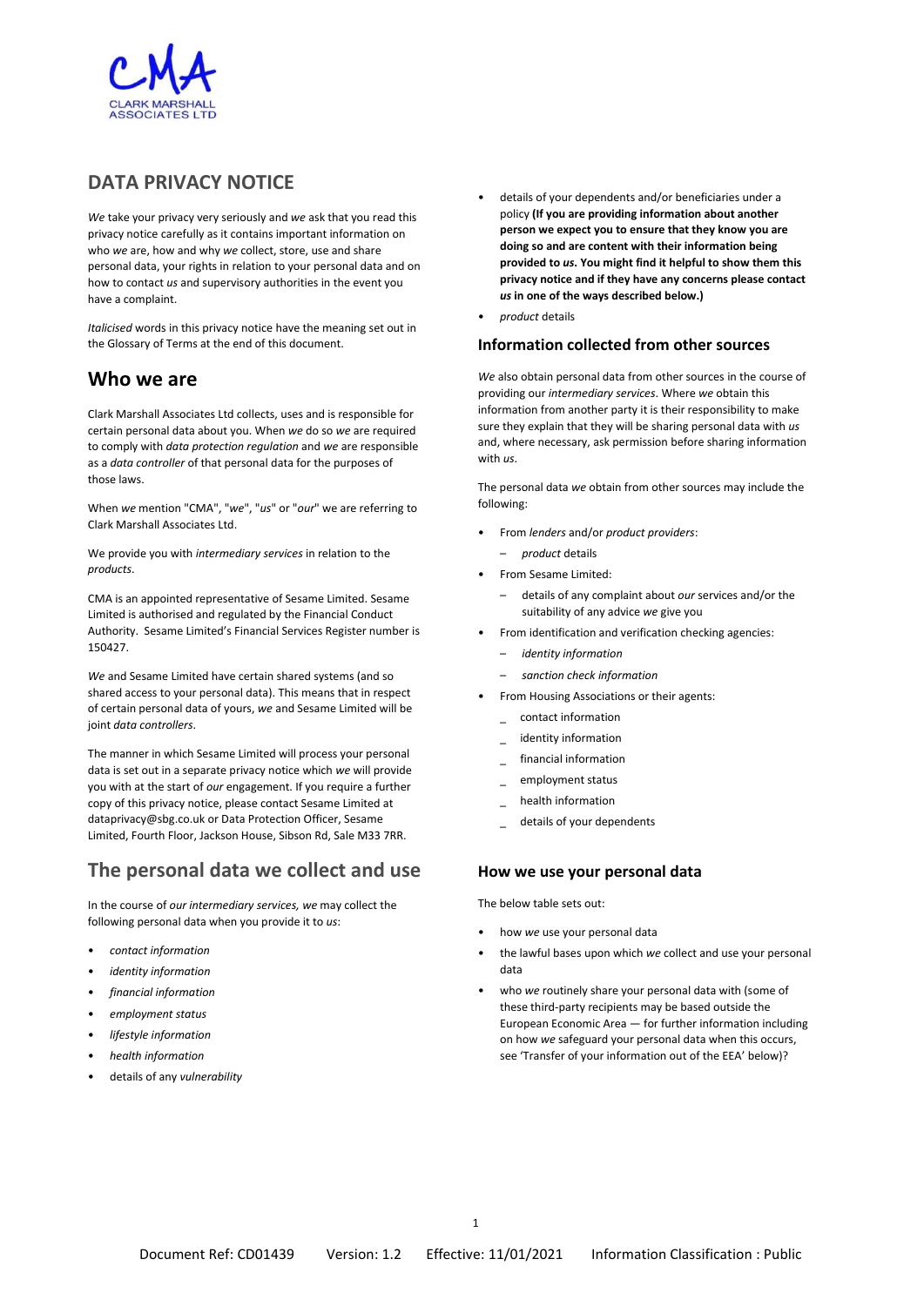

## **DATA PRIVACY NOTICE**

*We* take your privacy very seriously and *we* ask that you read this privacy notice carefully as it contains important information on who *we* are, how and why *we* collect, store, use and share personal data, your rights in relation to your personal data and on how to contact *us* and supervisory authorities in the event you have a complaint.

*Italicised* words in this privacy notice have the meaning set out in the Glossary of Terms at the end of this document.

## **Who we are**

Clark Marshall Associates Ltd collects, uses and is responsible for certain personal data about you. When *we* do so *we* are required to comply with *data protection regulation* and *we* are responsible as a *data controller* of that personal data for the purposes of those laws.

When *we* mention "CMA", "*we*", "*us*" or "*our*" we are referring to Clark Marshall Associates Ltd.

We provide you with *intermediary services* in relation to the *products*.

CMA is an appointed representative of Sesame Limited. Sesame Limited is authorised and regulated by the Financial Conduct Authority. Sesame Limited's Financial Services Register number is 150427.

*We* and Sesame Limited have certain shared systems (and so shared access to your personal data). This means that in respect of certain personal data of yours, *we* and Sesame Limited will be joint *data controllers*.

The manner in which Sesame Limited will process your personal data is set out in a separate privacy notice which *we* will provide you with at the start of *our* engagement. If you require a further copy of this privacy notice, please contact Sesame Limited at dataprivacy@sbg.co.uk or Data Protection Officer, Sesame Limited, Fourth Floor, Jackson House, Sibson Rd, Sale M33 7RR.

## **The personal data we collect and use**

In the course of *our intermediary services, we* may collect the following personal data when you provide it to *us*:

- *contact information*
- *identity information*
- *financial information*
- *employment status*
- *lifestyle information*
- *health information*
- details of any *vulnerability*
- details of your dependents and/or beneficiaries under a policy **(If you are providing information about another person we expect you to ensure that they know you are doing so and are content with their information being provided to** *us***. You might find it helpful to show them this privacy notice and if they have any concerns please contact**  *us* **in one of the ways described below.)**
- *product* details

### **Information collected from other sources**

*We* also obtain personal data from other sources in the course of providing our *intermediary services*. Where *we* obtain this information from another party it is their responsibility to make sure they explain that they will be sharing personal data with *us* and, where necessary, ask permission before sharing information with *us*.

The personal data *we* obtain from other sources may include the following:

- From *lenders* and/or *product providers*:
	- *product* details
- From Sesame Limited:
	- details of any complaint about *our* services and/or the suitability of any advice *we* give you
- From identification and verification checking agencies:
	- *identity information*
	- *sanction check information*
- From Housing Associations or their agents:
	- \_ contact information
	- identity information
	- \_ financial information
	- \_ employment status
	- \_ health information
	- details of your dependents

### **How we use your personal data**

The below table sets out:

- how *we* use your personal data
- the lawful bases upon which *we* collect and use your personal data
- who *we* routinely share your personal data with (some of these third-party recipients may be based outside the European Economic Area — for further information including on how *we* safeguard your personal data when this occurs, see 'Transfer of your information out of the EEA' below)?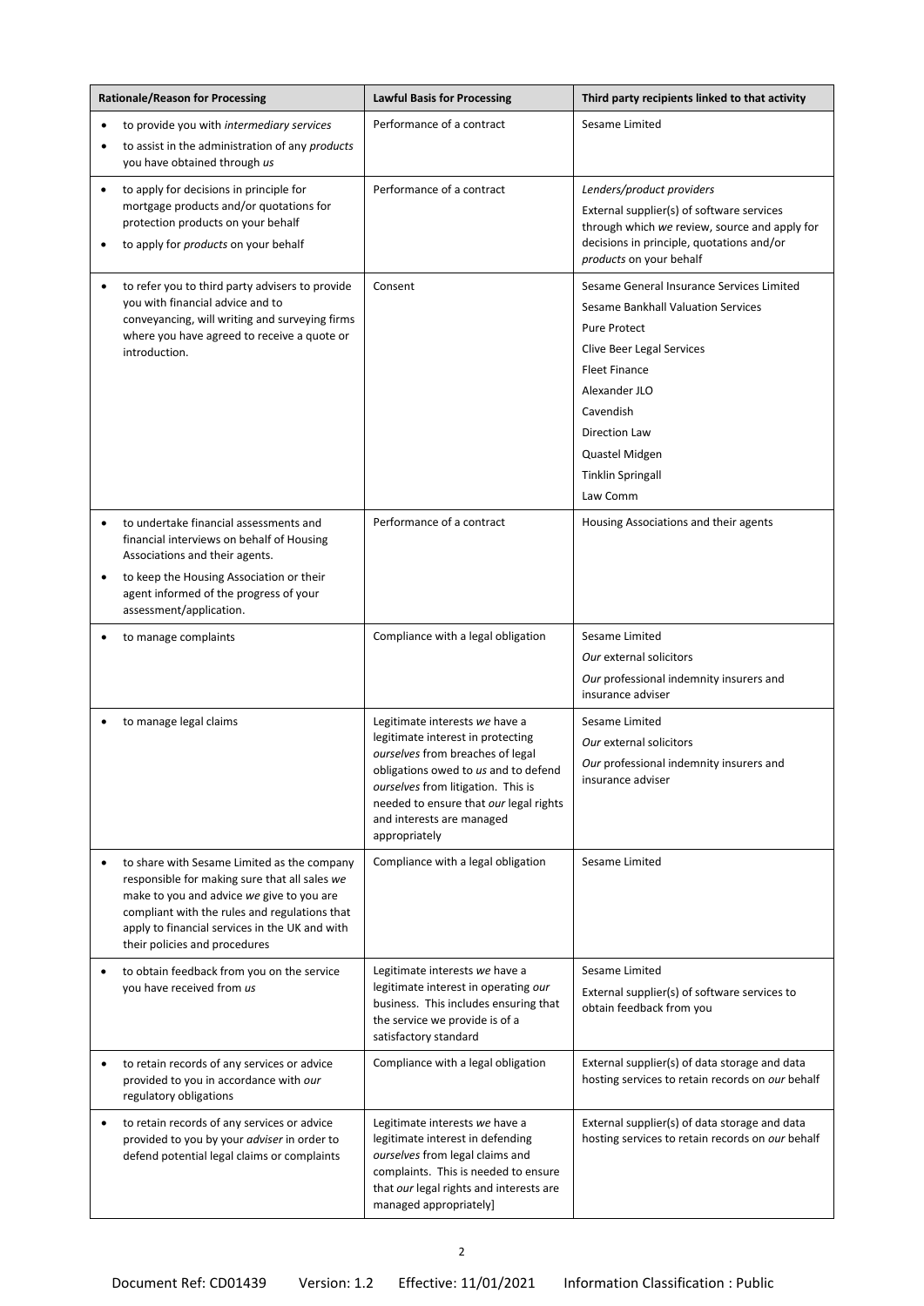| <b>Rationale/Reason for Processing</b>                                                                                                                                                                                                                                                     | <b>Lawful Basis for Processing</b>                                                                                                                                                                                                                                            | Third party recipients linked to that activity                                                                                                                                                                                                                              |
|--------------------------------------------------------------------------------------------------------------------------------------------------------------------------------------------------------------------------------------------------------------------------------------------|-------------------------------------------------------------------------------------------------------------------------------------------------------------------------------------------------------------------------------------------------------------------------------|-----------------------------------------------------------------------------------------------------------------------------------------------------------------------------------------------------------------------------------------------------------------------------|
| to provide you with intermediary services<br>$\bullet$                                                                                                                                                                                                                                     | Performance of a contract                                                                                                                                                                                                                                                     | Sesame Limited                                                                                                                                                                                                                                                              |
| to assist in the administration of any products<br>$\bullet$<br>you have obtained through us                                                                                                                                                                                               |                                                                                                                                                                                                                                                                               |                                                                                                                                                                                                                                                                             |
| to apply for decisions in principle for<br>$\bullet$<br>mortgage products and/or quotations for<br>protection products on your behalf<br>to apply for products on your behalf                                                                                                              | Performance of a contract                                                                                                                                                                                                                                                     | Lenders/product providers<br>External supplier(s) of software services<br>through which we review, source and apply for<br>decisions in principle, quotations and/or<br>products on your behalf                                                                             |
| to refer you to third party advisers to provide<br>you with financial advice and to<br>conveyancing, will writing and surveying firms<br>where you have agreed to receive a quote or<br>introduction.                                                                                      | Consent                                                                                                                                                                                                                                                                       | Sesame General Insurance Services Limited<br>Sesame Bankhall Valuation Services<br><b>Pure Protect</b><br>Clive Beer Legal Services<br><b>Fleet Finance</b><br>Alexander JLO<br>Cavendish<br><b>Direction Law</b><br>Quastel Midgen<br><b>Tinklin Springall</b><br>Law Comm |
| to undertake financial assessments and<br>$\bullet$<br>financial interviews on behalf of Housing<br>Associations and their agents.<br>to keep the Housing Association or their<br>$\bullet$<br>agent informed of the progress of your                                                      | Performance of a contract                                                                                                                                                                                                                                                     | Housing Associations and their agents                                                                                                                                                                                                                                       |
| assessment/application.                                                                                                                                                                                                                                                                    |                                                                                                                                                                                                                                                                               |                                                                                                                                                                                                                                                                             |
| to manage complaints                                                                                                                                                                                                                                                                       | Compliance with a legal obligation                                                                                                                                                                                                                                            | Sesame Limited<br>Our external solicitors<br>Our professional indemnity insurers and<br>insurance adviser                                                                                                                                                                   |
| to manage legal claims                                                                                                                                                                                                                                                                     | Legitimate interests we have a<br>legitimate interest in protecting<br>ourselves from breaches of legal<br>obligations owed to us and to defend<br>ourselves from litigation. This is<br>needed to ensure that our legal rights<br>and interests are managed<br>appropriately | Sesame Limited<br>Our external solicitors<br>Our professional indemnity insurers and<br>insurance adviser                                                                                                                                                                   |
| to share with Sesame Limited as the company<br>$\bullet$<br>responsible for making sure that all sales we<br>make to you and advice we give to you are<br>compliant with the rules and regulations that<br>apply to financial services in the UK and with<br>their policies and procedures | Compliance with a legal obligation                                                                                                                                                                                                                                            | Sesame Limited                                                                                                                                                                                                                                                              |
| to obtain feedback from you on the service<br>you have received from us                                                                                                                                                                                                                    | Legitimate interests we have a<br>legitimate interest in operating our<br>business. This includes ensuring that<br>the service we provide is of a<br>satisfactory standard                                                                                                    | Sesame Limited<br>External supplier(s) of software services to<br>obtain feedback from you                                                                                                                                                                                  |
| to retain records of any services or advice<br>$\bullet$<br>provided to you in accordance with our<br>regulatory obligations                                                                                                                                                               | Compliance with a legal obligation                                                                                                                                                                                                                                            | External supplier(s) of data storage and data<br>hosting services to retain records on our behalf                                                                                                                                                                           |
| to retain records of any services or advice<br>$\bullet$<br>provided to you by your adviser in order to<br>defend potential legal claims or complaints                                                                                                                                     | Legitimate interests we have a<br>legitimate interest in defending<br>ourselves from legal claims and<br>complaints. This is needed to ensure<br>that our legal rights and interests are<br>managed appropriately]                                                            | External supplier(s) of data storage and data<br>hosting services to retain records on our behalf                                                                                                                                                                           |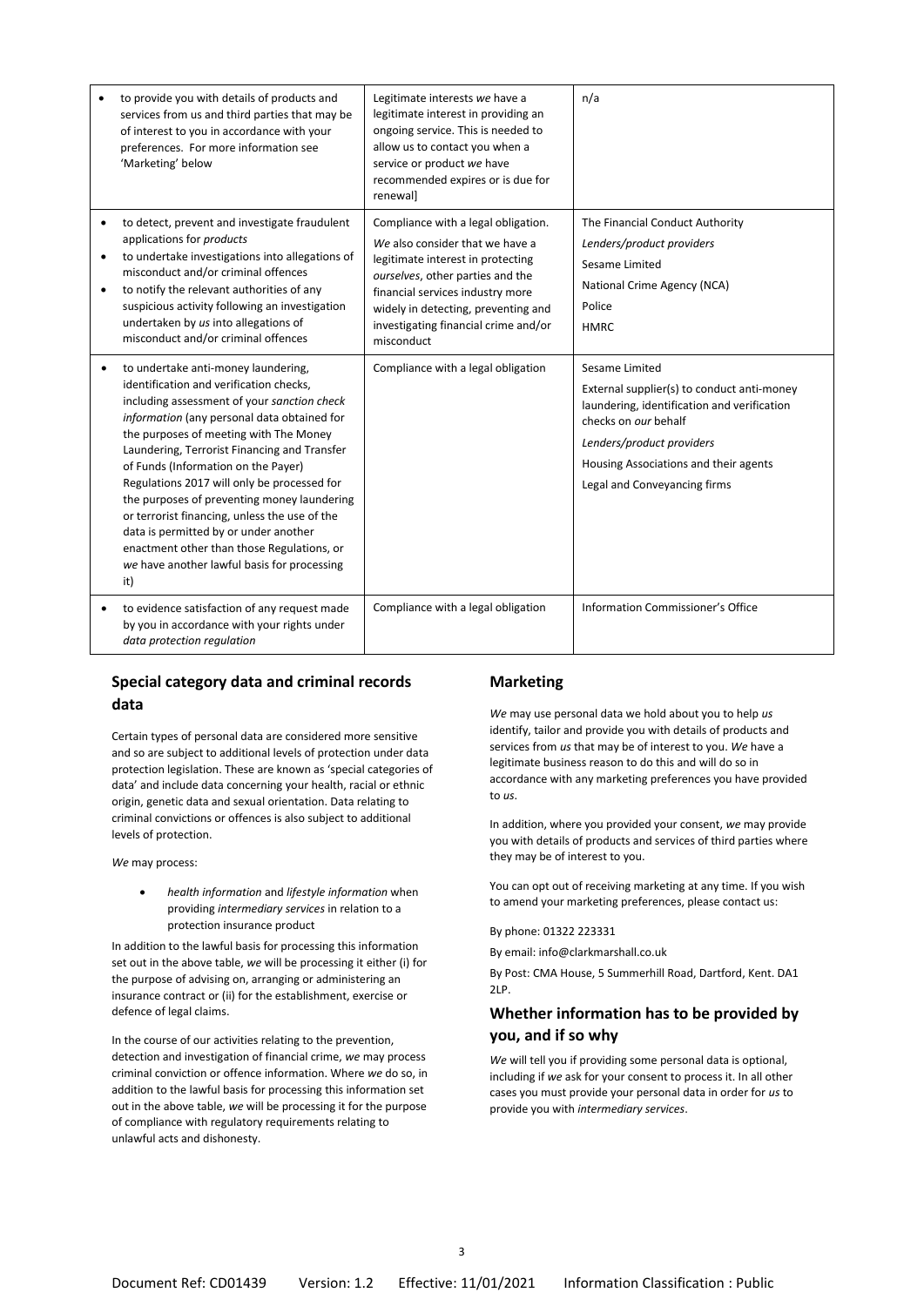|                     | to provide you with details of products and<br>services from us and third parties that may be<br>of interest to you in accordance with your<br>preferences. For more information see<br>'Marketing' below                                                                                                                                                                                                                                                                                                                                                                                                 | Legitimate interests we have a<br>legitimate interest in providing an<br>ongoing service. This is needed to<br>allow us to contact you when a<br>service or product we have<br>recommended expires or is due for<br>renewall                                                     | n/a                                                                                                                                                                                                                                       |
|---------------------|-----------------------------------------------------------------------------------------------------------------------------------------------------------------------------------------------------------------------------------------------------------------------------------------------------------------------------------------------------------------------------------------------------------------------------------------------------------------------------------------------------------------------------------------------------------------------------------------------------------|----------------------------------------------------------------------------------------------------------------------------------------------------------------------------------------------------------------------------------------------------------------------------------|-------------------------------------------------------------------------------------------------------------------------------------------------------------------------------------------------------------------------------------------|
| ٠<br>٠<br>$\bullet$ | to detect, prevent and investigate fraudulent<br>applications for products<br>to undertake investigations into allegations of<br>misconduct and/or criminal offences<br>to notify the relevant authorities of any<br>suspicious activity following an investigation<br>undertaken by us into allegations of<br>misconduct and/or criminal offences                                                                                                                                                                                                                                                        | Compliance with a legal obligation.<br>We also consider that we have a<br>legitimate interest in protecting<br>ourselves, other parties and the<br>financial services industry more<br>widely in detecting, preventing and<br>investigating financial crime and/or<br>misconduct | The Financial Conduct Authority<br>Lenders/product providers<br>Sesame Limited<br>National Crime Agency (NCA)<br>Police<br><b>HMRC</b>                                                                                                    |
|                     | to undertake anti-money laundering,<br>identification and verification checks,<br>including assessment of your sanction check<br>information (any personal data obtained for<br>the purposes of meeting with The Money<br>Laundering, Terrorist Financing and Transfer<br>of Funds (Information on the Payer)<br>Regulations 2017 will only be processed for<br>the purposes of preventing money laundering<br>or terrorist financing, unless the use of the<br>data is permitted by or under another<br>enactment other than those Regulations, or<br>we have another lawful basis for processing<br>it) | Compliance with a legal obligation                                                                                                                                                                                                                                               | Sesame Limited<br>External supplier(s) to conduct anti-money<br>laundering, identification and verification<br>checks on our behalf<br>Lenders/product providers<br>Housing Associations and their agents<br>Legal and Conveyancing firms |
| $\bullet$           | to evidence satisfaction of any request made<br>by you in accordance with your rights under<br>data protection regulation                                                                                                                                                                                                                                                                                                                                                                                                                                                                                 | Compliance with a legal obligation                                                                                                                                                                                                                                               | Information Commissioner's Office                                                                                                                                                                                                         |

### **Special category data and criminal records data**

Certain types of personal data are considered more sensitive and so are subject to additional levels of protection under data protection legislation. These are known as 'special categories of data' and include data concerning your health, racial or ethnic origin, genetic data and sexual orientation. Data relating to criminal convictions or offences is also subject to additional levels of protection.

*We* may process:

• *health information* and *lifestyle information* when providing *intermediary services* in relation to a protection insurance product

In addition to the lawful basis for processing this information set out in the above table, *we* will be processing it either (i) for the purpose of advising on, arranging or administering an insurance contract or (ii) for the establishment, exercise or defence of legal claims.

In the course of our activities relating to the prevention, detection and investigation of financial crime, *we* may process criminal conviction or offence information. Where *we* do so, in addition to the lawful basis for processing this information set out in the above table, *we* will be processing it for the purpose of compliance with regulatory requirements relating to unlawful acts and dishonesty.

#### **Marketing**

*We* may use personal data we hold about you to help *us* identify, tailor and provide you with details of products and services from *us* that may be of interest to you. *We* have a legitimate business reason to do this and will do so in accordance with any marketing preferences you have provided to *us*.

In addition, where you provided your consent, *we* may provide you with details of products and services of third parties where they may be of interest to you.

You can opt out of receiving marketing at any time. If you wish to amend your marketing preferences, please contact us:

By phone: 01322 223331

By email: info@clarkmarshall.co.uk

By Post: CMA House, 5 Summerhill Road, Dartford, Kent. DA1  $2LP$ .

## **Whether information has to be provided by you, and if so why**

*We* will tell you if providing some personal data is optional, including if *we* ask for your consent to process it. In all other cases you must provide your personal data in order for *us* to provide you with *intermediary services*.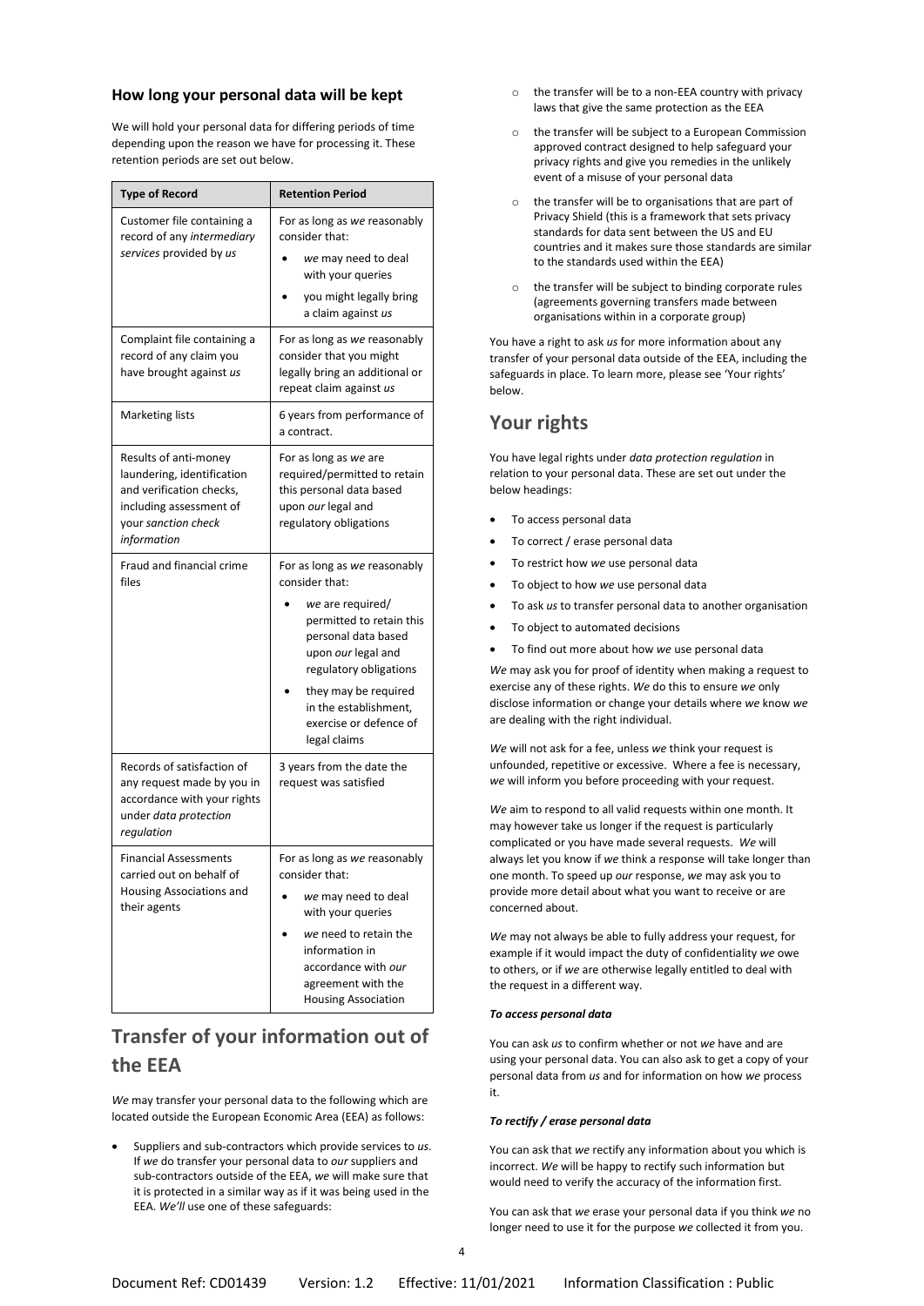### **How long your personal data will be kept**

We will hold your personal data for differing periods of time depending upon the reason we have for processing it. These retention periods are set out below.

| <b>Type of Record</b>                                                                                                                            | <b>Retention Period</b>                                                                                                                                                                                                                                          |  |  |
|--------------------------------------------------------------------------------------------------------------------------------------------------|------------------------------------------------------------------------------------------------------------------------------------------------------------------------------------------------------------------------------------------------------------------|--|--|
| Customer file containing a<br>record of any intermediary<br>services provided by us                                                              | For as long as we reasonably<br>consider that:<br>we may need to deal<br>with your queries<br>you might legally bring<br>a claim against us                                                                                                                      |  |  |
| Complaint file containing a<br>record of any claim you<br>have brought against us                                                                | For as long as we reasonably<br>consider that you might<br>legally bring an additional or<br>repeat claim against us                                                                                                                                             |  |  |
| <b>Marketing lists</b>                                                                                                                           | 6 years from performance of<br>a contract.                                                                                                                                                                                                                       |  |  |
| Results of anti-money<br>laundering, identification<br>and verification checks,<br>including assessment of<br>your sanction check<br>information | For as long as we are<br>required/permitted to retain<br>this personal data based<br>upon our legal and<br>regulatory obligations                                                                                                                                |  |  |
| Fraud and financial crime<br>files                                                                                                               | For as long as we reasonably<br>consider that:<br>we are required/<br>permitted to retain this<br>personal data based<br>upon our legal and<br>regulatory obligations<br>they may be required<br>in the establishment,<br>exercise or defence of<br>legal claims |  |  |
| Records of satisfaction of<br>any request made by you in<br>accordance with your rights<br>under data protection<br>regulation                   | 3 years from the date the<br>request was satisfied                                                                                                                                                                                                               |  |  |
| <b>Financial Assessments</b><br>carried out on behalf of<br>Housing Associations and<br>their agents                                             | For as long as we reasonably<br>consider that:<br>we may need to deal<br>with your queries<br>we need to retain the<br>information in<br>accordance with our<br>agreement with the<br><b>Housing Association</b>                                                 |  |  |

## **Transfer of your information out of the EEA**

*We* may transfer your personal data to the following which are located outside the European Economic Area (EEA) as follows:

• Suppliers and sub-contractors which provide services to *us*. If *we* do transfer your personal data to *our* suppliers and sub-contractors outside of the EEA, *we* will make sure that it is protected in a similar way as if it was being used in the EEA. *We'll* use one of these safeguards:

- $\circ$  the transfer will be to a non-EEA country with privacy laws that give the same protection as the EEA
- o the transfer will be subject to a European Commission approved contract designed to help safeguard your privacy rights and give you remedies in the unlikely event of a misuse of your personal data
- o the transfer will be to organisations that are part of Privacy Shield (this is a framework that sets privacy standards for data sent between the US and EU countries and it makes sure those standards are similar to the standards used within the EEA)
- the transfer will be subject to binding corporate rules (agreements governing transfers made between organisations within in a corporate group)

You have a right to ask *us* for more information about any transfer of your personal data outside of the EEA, including the safeguards in place. To learn more, please see 'Your rights' below.

## **Your rights**

You have legal rights under *data protection regulation* in relation to your personal data. These are set out under the below headings:

- To access personal data
- To correct / erase personal data
- To restrict how *we* use personal data
- To object to how *we* use personal data
- To ask *us* to transfer personal data to another organisation
- To object to automated decisions
- To find out more about how *we* use personal data

*We* may ask you for proof of identity when making a request to exercise any of these rights. *We* do this to ensure *we* only disclose information or change your details where *we* know *we* are dealing with the right individual.

*We* will not ask for a fee, unless *we* think your request is unfounded, repetitive or excessive. Where a fee is necessary, *we* will inform you before proceeding with your request.

*We* aim to respond to all valid requests within one month. It may however take us longer if the request is particularly complicated or you have made several requests. *We* will always let you know if *we* think a response will take longer than one month. To speed up *our* response, *we* may ask you to provide more detail about what you want to receive or are concerned about.

*We* may not always be able to fully address your request, for example if it would impact the duty of confidentiality *we* owe to others, or if *we* are otherwise legally entitled to deal with the request in a different way.

#### *To access personal data*

You can ask *us* to confirm whether or not *we* have and are using your personal data. You can also ask to get a copy of your personal data from *us* and for information on how *we* process it.

#### *To rectify / erase personal data*

You can ask that *we* rectify any information about you which is incorrect. *We* will be happy to rectify such information but would need to verify the accuracy of the information first.

You can ask that *we* erase your personal data if you think *we* no longer need to use it for the purpose *we* collected it from you.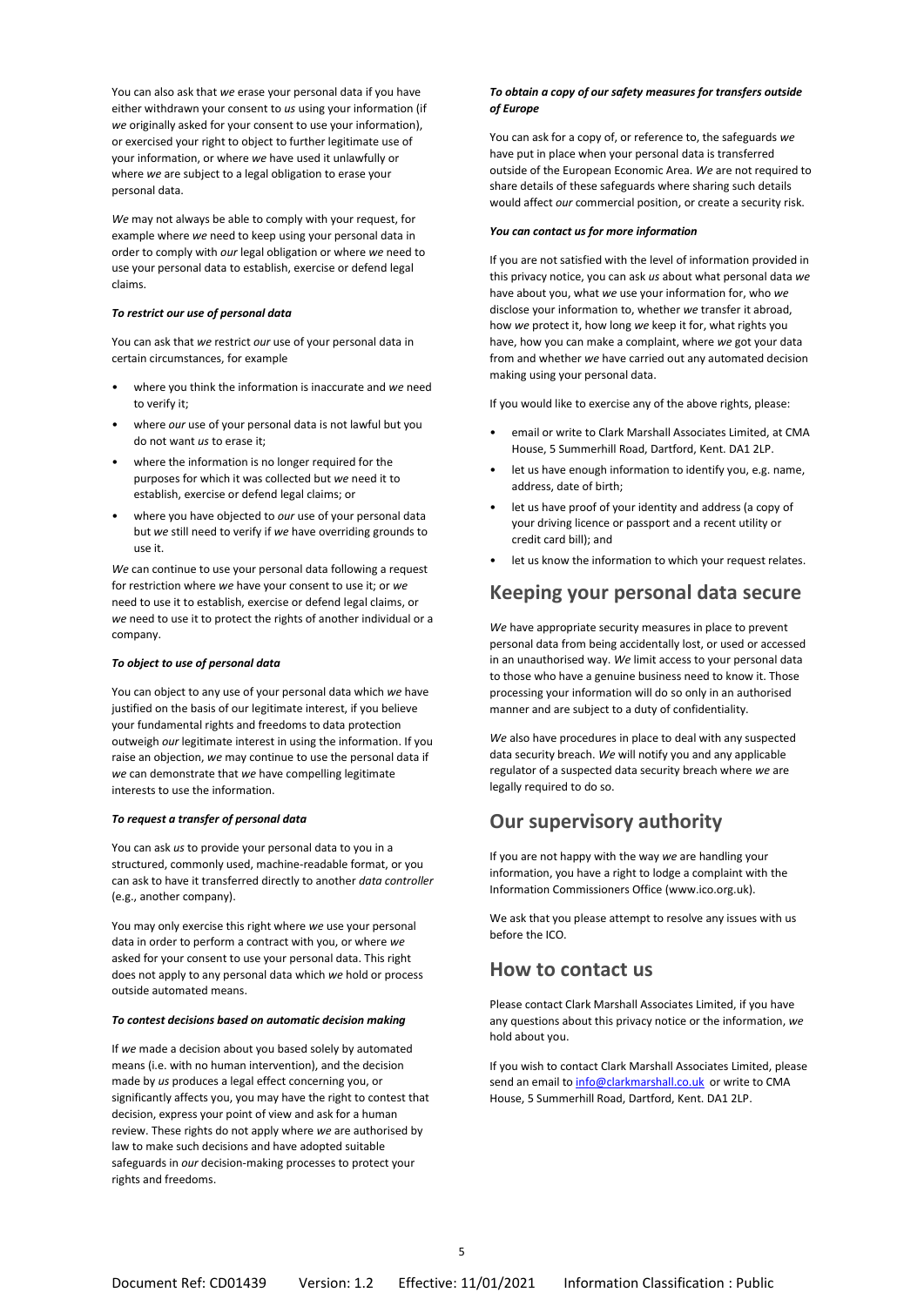You can also ask that *we* erase your personal data if you have either withdrawn your consent to *us* using your information (if *we* originally asked for your consent to use your information), or exercised your right to object to further legitimate use of your information, or where *we* have used it unlawfully or where *we* are subject to a legal obligation to erase your personal data.

*We* may not always be able to comply with your request, for example where *we* need to keep using your personal data in order to comply with *our* legal obligation or where *we* need to use your personal data to establish, exercise or defend legal claims.

#### *To restrict our use of personal data*

You can ask that *we* restrict *our* use of your personal data in certain circumstances, for example

- where you think the information is inaccurate and *we* need to verify it;
- where *our* use of your personal data is not lawful but you do not want *us* to erase it;
- where the information is no longer required for the purposes for which it was collected but *we* need it to establish, exercise or defend legal claims; or
- where you have objected to *our* use of your personal data but *we* still need to verify if *we* have overriding grounds to use it.

*We* can continue to use your personal data following a request for restriction where *we* have your consent to use it; or *we* need to use it to establish, exercise or defend legal claims, or *we* need to use it to protect the rights of another individual or a company.

#### *To object to use of personal data*

You can object to any use of your personal data which *we* have justified on the basis of our legitimate interest, if you believe your fundamental rights and freedoms to data protection outweigh *our* legitimate interest in using the information. If you raise an objection, *we* may continue to use the personal data if *we* can demonstrate that *we* have compelling legitimate interests to use the information.

#### *To request a transfer of personal data*

You can ask *us* to provide your personal data to you in a structured, commonly used, machine-readable format, or you can ask to have it transferred directly to another *data controller* (e.g., another company).

You may only exercise this right where *we* use your personal data in order to perform a contract with you, or where *we* asked for your consent to use your personal data. This right does not apply to any personal data which *we* hold or process outside automated means.

#### *To contest decisions based on automatic decision making*

If *we* made a decision about you based solely by automated means (i.e. with no human intervention), and the decision made by *us* produces a legal effect concerning you, or significantly affects you, you may have the right to contest that decision, express your point of view and ask for a human review. These rights do not apply where *we* are authorised by law to make such decisions and have adopted suitable safeguards in *our* decision-making processes to protect your rights and freedoms.

#### *To obtain a copy of our safety measures for transfers outside of Europe*

You can ask for a copy of, or reference to, the safeguards *we* have put in place when your personal data is transferred outside of the European Economic Area. *We* are not required to share details of these safeguards where sharing such details would affect *our* commercial position, or create a security risk.

#### *You can contact us for more information*

If you are not satisfied with the level of information provided in this privacy notice, you can ask *us* about what personal data *we* have about you, what *we* use your information for, who *we* disclose your information to, whether *we* transfer it abroad, how *we* protect it, how long *we* keep it for, what rights you have, how you can make a complaint, where *we* got your data from and whether *we* have carried out any automated decision making using your personal data.

If you would like to exercise any of the above rights, please:

- email or write to Clark Marshall Associates Limited, at CMA House, 5 Summerhill Road, Dartford, Kent. DA1 2LP.
- let us have enough information to identify you, e.g. name, address, date of birth;
- let us have proof of your identity and address (a copy of your driving licence or passport and a recent utility or credit card bill); and
- let us know the information to which your request relates.

## **Keeping your personal data secure**

*We* have appropriate security measures in place to prevent personal data from being accidentally lost, or used or accessed in an unauthorised way. *We* limit access to your personal data to those who have a genuine business need to know it. Those processing your information will do so only in an authorised manner and are subject to a duty of confidentiality.

*We* also have procedures in place to deal with any suspected data security breach. *We* will notify you and any applicable regulator of a suspected data security breach where *we* are legally required to do so.

## **Our supervisory authority**

If you are not happy with the way *we* are handling your information, you have a right to lodge a complaint with the Information Commissioners Office (www.ico.org.uk).

We ask that you please attempt to resolve any issues with us before the ICO.

### **How to contact us**

Please contact Clark Marshall Associates Limited, if you have any questions about this privacy notice or the information, *we* hold about you.

If you wish to contact Clark Marshall Associates Limited, please send an email t[o info@clarkmarshall.co.uk](mailto:info@clarkmarshall.co.uk) or write to CMA House, 5 Summerhill Road, Dartford, Kent. DA1 2LP.